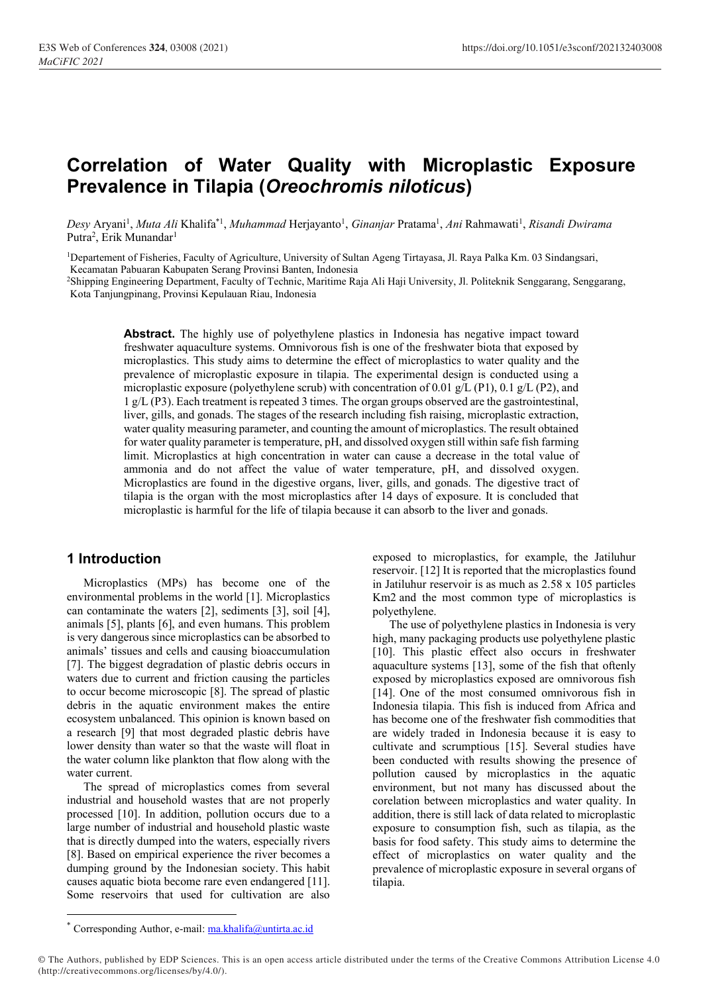# **Correlation of Water Quality with Microplastic Exposure Prevalence in Tilapia (***Oreochromis niloticus***)**

Desy Aryani<sup>1</sup>, *Muta Ali* Khalifa<sup>\*1</sup>, *Muhammad* Herjayanto<sup>1</sup>, *Ginanjar* Pratama<sup>1</sup>, *Ani* Rahmawati<sup>1</sup>, *Risandi Dwirama* Putra<sup>2</sup>, Erik Munandar<sup>1</sup>

<sup>1</sup>Departement of Fisheries, Faculty of Agriculture, University of Sultan Ageng Tirtayasa, Jl. Raya Palka Km. 03 Sindangsari, Kecamatan Pabuaran Kabupaten Serang Provinsi Banten, Indonesia

<sup>2</sup>Shipping Engineering Department, Faculty of Technic, Maritime Raja Ali Haji University, Jl. Politeknik Senggarang, Senggarang, Kota Tanjungpinang, Provinsi Kepulauan Riau, Indonesia

> **Abstract.** The highly use of polyethylene plastics in Indonesia has negative impact toward freshwater aquaculture systems. Omnivorous fish is one of the freshwater biota that exposed by microplastics. This study aims to determine the effect of microplastics to water quality and the prevalence of microplastic exposure in tilapia. The experimental design is conducted using a microplastic exposure (polyethylene scrub) with concentration of 0.01 g/L (P1), 0.1 g/L (P2), and 1 g/L (P3). Each treatment is repeated 3 times. The organ groups observed are the gastrointestinal, liver, gills, and gonads. The stages of the research including fish raising, microplastic extraction, water quality measuring parameter, and counting the amount of microplastics. The result obtained for water quality parameter is temperature, pH, and dissolved oxygen still within safe fish farming limit. Microplastics at high concentration in water can cause a decrease in the total value of ammonia and do not affect the value of water temperature, pH, and dissolved oxygen. Microplastics are found in the digestive organs, liver, gills, and gonads. The digestive tract of tilapia is the organ with the most microplastics after 14 days of exposure. It is concluded that microplastic is harmful for the life of tilapia because it can absorb to the liver and gonads.

# **1 Introduction**

Microplastics (MPs) has become one of the environmental problems in the world [1]. Microplastics can contaminate the waters [2], sediments [3], soil [4], animals [5], plants [6], and even humans. This problem is very dangerous since microplastics can be absorbed to animals' tissues and cells and causing bioaccumulation [7]. The biggest degradation of plastic debris occurs in waters due to current and friction causing the particles to occur become microscopic [8]. The spread of plastic debris in the aquatic environment makes the entire ecosystem unbalanced. This opinion is known based on a research [9] that most degraded plastic debris have lower density than water so that the waste will float in the water column like plankton that flow along with the water current.

The spread of microplastics comes from several industrial and household wastes that are not properly processed [10]. In addition, pollution occurs due to a large number of industrial and household plastic waste that is directly dumped into the waters, especially rivers [8]. Based on empirical experience the river becomes a dumping ground by the Indonesian society. This habit causes aquatic biota become rare even endangered [11]. Some reservoirs that used for cultivation are also

exposed to microplastics, for example, the Jatiluhur reservoir. [12] It is reported that the microplastics found in Jatiluhur reservoir is as much as 2.58 x 105 particles Km2 and the most common type of microplastics is polyethylene.

The use of polyethylene plastics in Indonesia is very high, many packaging products use polyethylene plastic [10]. This plastic effect also occurs in freshwater aquaculture systems [13], some of the fish that oftenly exposed by microplastics exposed are omnivorous fish [14]. One of the most consumed omnivorous fish in Indonesia tilapia. This fish is induced from Africa and has become one of the freshwater fish commodities that are widely traded in Indonesia because it is easy to cultivate and scrumptious [15]. Several studies have been conducted with results showing the presence of pollution caused by microplastics in the aquatic environment, but not many has discussed about the corelation between microplastics and water quality. In addition, there is still lack of data related to microplastic exposure to consumption fish, such as tilapia, as the basis for food safety. This study aims to determine the effect of microplastics on water quality and the prevalence of microplastic exposure in several organs of tilapia.

<sup>\*</sup> Corresponding Author, e-mail: [ma.khalifa@untirta.ac.id](mailto:ma.khalifa@untirta.ac.id)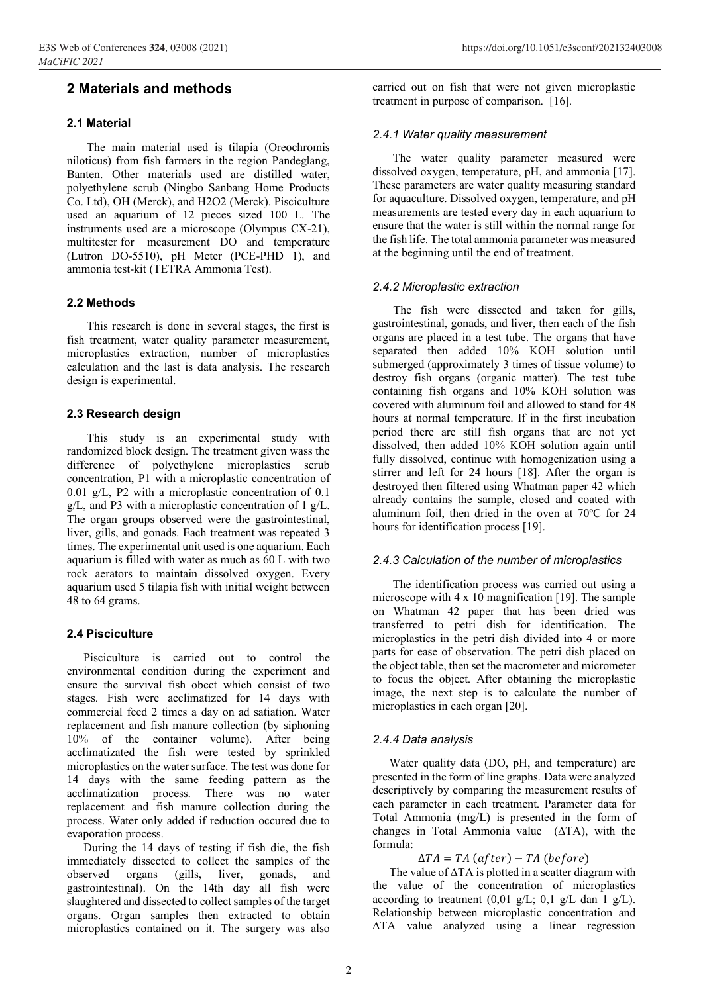# **2 Materials and methods**

# **2.1 Material**

The main material used is tilapia (Oreochromis niloticus) from fish farmers in the region Pandeglang, Banten. Other materials used are distilled water, polyethylene scrub (Ningbo Sanbang Home Products Co. Ltd), OH (Merck), and H2O2 (Merck). Pisciculture used an aquarium of 12 pieces sized 100 L. The instruments used are a microscope (Olympus CX-21), multitester for measurement DO and temperature (Lutron DO-5510), pH Meter (PCE-PHD  $1$ ), and ammonia test-kit (TETRA Ammonia Test).

# **2.2 Methods**

This research is done in several stages, the first is fish treatment, water quality parameter measurement, microplastics extraction, number of microplastics calculation and the last is data analysis. The research design is experimental.

# **2.3 Research design**

This study is an experimental study with randomized block design. The treatment given wass the difference of polyethylene microplastics scrub concentration, P1 with a microplastic concentration of 0.01 g/L, P2 with a microplastic concentration of 0.1 g/L, and P3 with a microplastic concentration of 1 g/L. The organ groups observed were the gastrointestinal, liver, gills, and gonads. Each treatment was repeated 3 times. The experimental unit used is one aquarium. Each aquarium is filled with water as much as 60 L with two rock aerators to maintain dissolved oxygen. Every aquarium used 5 tilapia fish with initial weight between 48 to 64 grams.

#### **2.4 Pisciculture**

Pisciculture is carried out to control the environmental condition during the experiment and ensure the survival fish obect which consist of two stages. Fish were acclimatized for 14 days with commercial feed 2 times a day on ad satiation. Water replacement and fish manure collection (by siphoning 10% of the container volume). After being acclimatizated the fish were tested by sprinkled microplastics on the water surface. The test was done for 14 days with the same feeding pattern as the acclimatization process. There was no water replacement and fish manure collection during the process. Water only added if reduction occured due to evaporation process.

During the 14 days of testing if fish die, the fish immediately dissected to collect the samples of the observed organs (gills, liver, gonads, and gastrointestinal). On the 14th day all fish were slaughtered and dissected to collect samples of the target organs. Organ samples then extracted to obtain microplastics contained on it. The surgery was also

carried out on fish that were not given microplastic treatment in purpose of comparison. [16].

## *2.4.1 Water quality measurement*

The water quality parameter measured were dissolved oxygen, temperature, pH, and ammonia [17]. These parameters are water quality measuring standard for aquaculture. Dissolved oxygen, temperature, and pH measurements are tested every day in each aquarium to ensure that the water is still within the normal range for the fish life. The total ammonia parameter was measured at the beginning until the end of treatment.

# *2.4.2 Microplastic extraction*

The fish were dissected and taken for gills, gastrointestinal, gonads, and liver, then each of the fish organs are placed in a test tube. The organs that have separated then added 10% KOH solution until submerged (approximately 3 times of tissue volume) to destroy fish organs (organic matter). The test tube containing fish organs and 10% KOH solution was covered with aluminum foil and allowed to stand for 48 hours at normal temperature. If in the first incubation period there are still fish organs that are not yet dissolved, then added 10% KOH solution again until fully dissolved, continue with homogenization using a stirrer and left for 24 hours [18]. After the organ is destroyed then filtered using Whatman paper 42 which already contains the sample, closed and coated with aluminum foil, then dried in the oven at 70ºC for 24 hours for identification process [19].

#### *2.4.3 Calculation of the number of microplastics*

The identification process was carried out using a microscope with 4 x 10 magnification [19]. The sample on Whatman 42 paper that has been dried was transferred to petri dish for identification. The microplastics in the petri dish divided into 4 or more parts for ease of observation. The petri dish placed on the object table, then set the macrometer and micrometer to focus the object. After obtaining the microplastic image, the next step is to calculate the number of microplastics in each organ [20].

#### *2.4.4 Data analysis*

Water quality data (DO, pH, and temperature) are presented in the form of line graphs. Data were analyzed descriptively by comparing the measurement results of each parameter in each treatment. Parameter data for Total Ammonia (mg/L) is presented in the form of changes in Total Ammonia value (∆TA), with the formula:

 $\Delta TA = TA$  (after) – TA (before)

The value of ∆TA is plotted in a scatter diagram with the value of the concentration of microplastics according to treatment  $(0,01 \text{ g/L}; 0,1 \text{ g/L} \text{ dan } 1 \text{ g/L}).$ Relationship between microplastic concentration and ∆TA value analyzed using a linear regression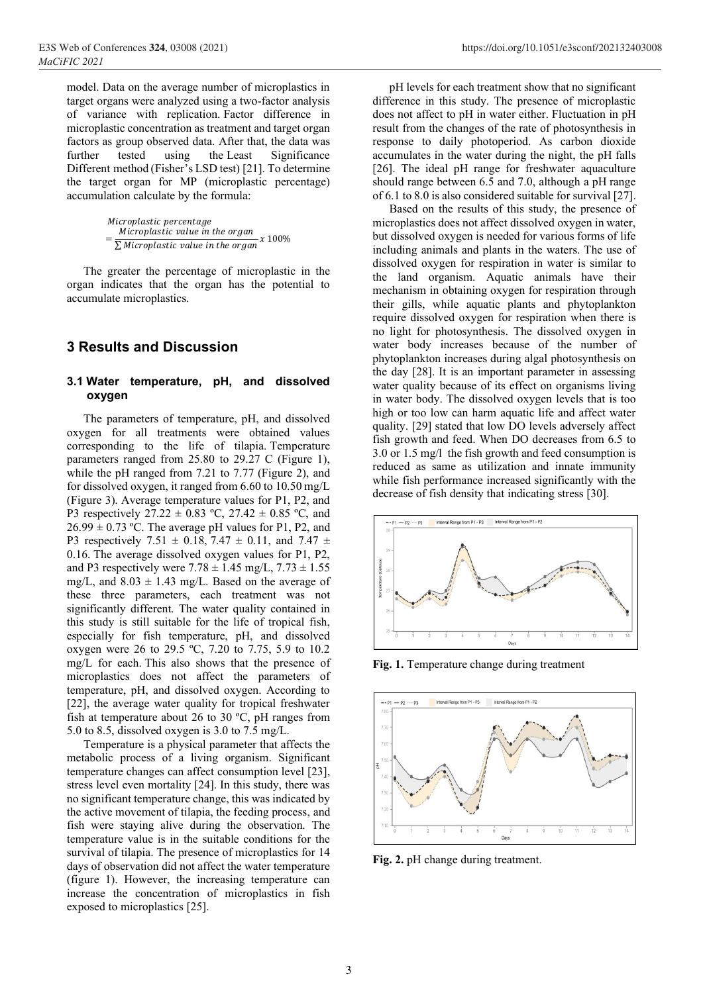model. Data on the average number of microplastics in target organs were analyzed using a two-factor analysis of variance with replication. Factor difference in microplastic concentration as treatment and target organ factors as group observed data. After that, the data was further tested using the Least Significance Different method (Fisher's LSD test) [21]. To determine the target organ for MP (microplastic percentage) accumulation calculate by the formula:

> Microplastic percentage = Microplastic value in the organ  $\sum$  Microplastic value in the organ 100%

The greater the percentage of microplastic in the organ indicates that the organ has the potential to accumulate microplastics.

# **3 Results and Discussion**

## **3.1 Water temperature, pH, and dissolved oxygen**

The parameters of temperature, pH, and dissolved oxygen for all treatments were obtained values corresponding to the life of tilapia. Temperature parameters ranged from 25.80 to 29.27 C (Figure 1), while the pH ranged from 7.21 to 7.77 (Figure 2), and for dissolved oxygen, it ranged from 6.60 to 10.50 mg/L (Figure 3). Average temperature values for P1, P2, and P3 respectively  $27.22 \pm 0.83$  °C,  $27.42 \pm 0.85$  °C, and  $26.99 \pm 0.73$  °C. The average pH values for P1, P2, and P3 respectively 7.51  $\pm$  0.18, 7.47  $\pm$  0.11, and 7.47  $\pm$ 0.16. The average dissolved oxygen values for P1, P2, and P3 respectively were  $7.78 \pm 1.45$  mg/L,  $7.73 \pm 1.55$ mg/L, and  $8.03 \pm 1.43$  mg/L. Based on the average of these three parameters, each treatment was not significantly different. The water quality contained in this study is still suitable for the life of tropical fish, especially for fish temperature, pH, and dissolved oxygen were 26 to 29.5 ºC, 7.20 to 7.75, 5.9 to 10.2 mg/L for each. This also shows that the presence of microplastics does not affect the parameters of temperature, pH, and dissolved oxygen. According to [22], the average water quality for tropical freshwater fish at temperature about 26 to 30 ºC, pH ranges from 5.0 to 8.5, dissolved oxygen is 3.0 to 7.5 mg/L.

Temperature is a physical parameter that affects the metabolic process of a living organism. Significant temperature changes can affect consumption level [23], stress level even mortality [24]. In this study, there was no significant temperature change, this was indicated by the active movement of tilapia, the feeding process, and fish were staying alive during the observation. The temperature value is in the suitable conditions for the survival of tilapia. The presence of microplastics for 14 days of observation did not affect the water temperature (figure 1). However, the increasing temperature can increase the concentration of microplastics in fish exposed to microplastics [25].

pH levels for each treatment show that no significant difference in this study. The presence of microplastic does not affect to pH in water either. Fluctuation in pH result from the changes of the rate of photosynthesis in response to daily photoperiod. As carbon dioxide accumulates in the water during the night, the pH falls [26]. The ideal pH range for freshwater aquaculture should range between 6.5 and 7.0, although a pH range of 6.1 to 8.0 is also considered suitable for survival [27].

Based on the results of this study, the presence of microplastics does not affect dissolved oxygen in water, but dissolved oxygen is needed for various forms of life including animals and plants in the waters. The use of dissolved oxygen for respiration in water is similar to the land organism. Aquatic animals have their mechanism in obtaining oxygen for respiration through their gills, while aquatic plants and phytoplankton require dissolved oxygen for respiration when there is no light for photosynthesis. The dissolved oxygen in water body increases because of the number of phytoplankton increases during algal photosynthesis on the day [28]. It is an important parameter in assessing water quality because of its effect on organisms living in water body. The dissolved oxygen levels that is too high or too low can harm aquatic life and affect water quality. [29] stated that low DO levels adversely affect fish growth and feed. When DO decreases from 6.5 to 3.0 or 1.5 mg/l the fish growth and feed consumption is reduced as same as utilization and innate immunity while fish performance increased significantly with the decrease of fish density that indicating stress [30].



**Fig. 1.** Temperature change during treatment



**Fig. 2.** pH change during treatment.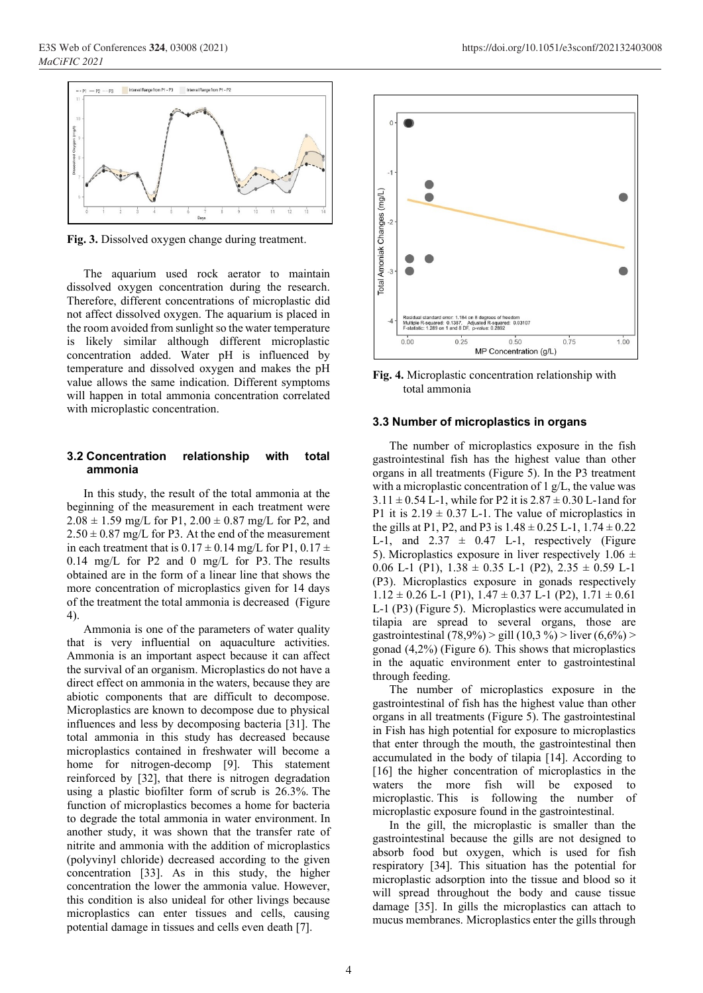

**Fig. 3.** Dissolved oxygen change during treatment.

The aquarium used rock aerator to maintain dissolved oxygen concentration during the research. Therefore, different concentrations of microplastic did not affect dissolved oxygen. The aquarium is placed in the room avoided from sunlight so the water temperature is likely similar although different microplastic concentration added. Water pH is influenced by temperature and dissolved oxygen and makes the pH value allows the same indication. Different symptoms will happen in total ammonia concentration correlated with microplastic concentration.

#### **3.2 Concentration relationship with total ammonia**

In this study, the result of the total ammonia at the beginning of the measurement in each treatment were  $2.08 \pm 1.59$  mg/L for P1,  $2.00 \pm 0.87$  mg/L for P2, and  $2.50 \pm 0.87$  mg/L for P3. At the end of the measurement in each treatment that is  $0.17 \pm 0.14$  mg/L for P1,  $0.17 \pm$ 0.14 mg/L for P2 and 0 mg/L for P3. The results obtained are in the form of a linear line that shows the more concentration of microplastics given for 14 days of the treatment the total ammonia is decreased (Figure 4).

Ammonia is one of the parameters of water quality that is very influential on aquaculture activities. Ammonia is an important aspect because it can affect the survival of an organism. Microplastics do not have a direct effect on ammonia in the waters, because they are abiotic components that are difficult to decompose. Microplastics are known to decompose due to physical influences and less by decomposing bacteria [31]. The total ammonia in this study has decreased because microplastics contained in freshwater will become a home for nitrogen-decomp [9]. This statement reinforced by [32], that there is nitrogen degradation using a plastic biofilter form of scrub is 26.3%. The function of microplastics becomes a home for bacteria to degrade the total ammonia in water environment. In another study, it was shown that the transfer rate of nitrite and ammonia with the addition of microplastics (polyvinyl chloride) decreased according to the given concentration [33]. As in this study, the higher concentration the lower the ammonia value. However, this condition is also unideal for other livings because microplastics can enter tissues and cells, causing potential damage in tissues and cells even death [7].



**Fig. 4.** Microplastic concentration relationship with total ammonia

#### **3.3 Number of microplastics in organs**

The number of microplastics exposure in the fish gastrointestinal fish has the highest value than other organs in all treatments (Figure 5). In the P3 treatment with a microplastic concentration of 1 g/L, the value was  $3.11 \pm 0.54$  L-1, while for P2 it is  $2.87 \pm 0.30$  L-1 and for P1 it is  $2.19 \pm 0.37$  L-1. The value of microplastics in the gills at P1, P2, and P3 is  $1.48 \pm 0.25$  L-1,  $1.74 \pm 0.22$ L-1, and  $2.37 \pm 0.47$  L-1, respectively (Figure 5). Microplastics exposure in liver respectively 1.06  $\pm$ 0.06 L-1 (P1),  $1.38 \pm 0.35$  L-1 (P2),  $2.35 \pm 0.59$  L-1 (P3). Microplastics exposure in gonads respectively  $1.12 \pm 0.26$  L-1 (P1),  $1.47 \pm 0.37$  L-1 (P2),  $1.71 \pm 0.61$ L-1 (P3) (Figure 5). Microplastics were accumulated in tilapia are spread to several organs, those are gastrointestinal (78,9%) > gill (10,3 %) > liver (6,6%) > gonad (4,2%) (Figure 6). This shows that microplastics in the aquatic environment enter to gastrointestinal through feeding.

The number of microplastics exposure in the gastrointestinal of fish has the highest value than other organs in all treatments (Figure 5). The gastrointestinal in Fish has high potential for exposure to microplastics that enter through the mouth, the gastrointestinal then accumulated in the body of tilapia [14]. According to [16] the higher concentration of microplastics in the waters the more fish will be exposed to microplastic. This is following the number of microplastic exposure found in the gastrointestinal.

In the gill, the microplastic is smaller than the gastrointestinal because the gills are not designed to absorb food but oxygen, which is used for fish respiratory [34]. This situation has the potential for microplastic adsorption into the tissue and blood so it will spread throughout the body and cause tissue damage [35]. In gills the microplastics can attach to mucus membranes. Microplastics enter the gills through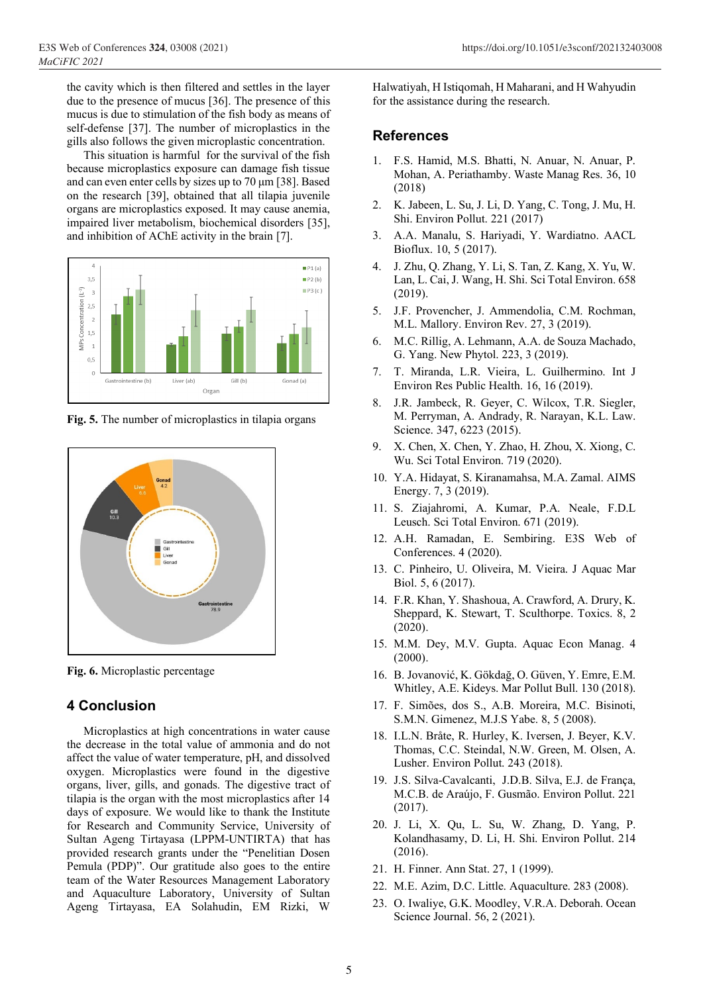the cavity which is then filtered and settles in the layer due to the presence of mucus [36]. The presence of this mucus is due to stimulation of the fish body as means of self-defense [37]. The number of microplastics in the gills also follows the given microplastic concentration.

This situation is harmful for the survival of the fish because microplastics exposure can damage fish tissue and can even enter cells by sizes up to 70 μm [38]. Based on the research [39], obtained that all tilapia juvenile organs are microplastics exposed. It may cause anemia, impaired liver metabolism, biochemical disorders [35], and inhibition of AChE activity in the brain [7].



**Fig. 5.** The number of microplastics in tilapia organs



**Fig. 6.** Microplastic percentage

# **4 Conclusion**

Microplastics at high concentrations in water cause the decrease in the total value of ammonia and do not affect the value of water temperature, pH, and dissolved oxygen. Microplastics were found in the digestive organs, liver, gills, and gonads. The digestive tract of tilapia is the organ with the most microplastics after 14 days of exposure. We would like to thank the Institute for Research and Community Service, University of Sultan Ageng Tirtayasa (LPPM-UNTIRTA) that has provided research grants under the "Penelitian Dosen Pemula (PDP)". Our gratitude also goes to the entire team of the Water Resources Management Laboratory and Aquaculture Laboratory, University of Sultan Ageng Tirtayasa, EA Solahudin, EM Rizki, W

Halwatiyah, H Istiqomah, H Maharani, and H Wahyudin for the assistance during the research.

# **References**

- 1. F.S. Hamid, M.S. Bhatti, N. Anuar, N. Anuar, P. Mohan, A. Periathamby. Waste Manag Res. 36, 10 (2018)
- 2. K. Jabeen, L. Su, J. Li, D. Yang, C. Tong, J. Mu, H. Shi. Environ Pollut. 221 (2017)
- 3. A.A. Manalu, S. Hariyadi, Y. Wardiatno. AACL Bioflux. 10, 5 (2017).
- 4. J. Zhu, Q. Zhang, Y. Li, S. Tan, Z. Kang, X. Yu, W. Lan, L. Cai, J. Wang, H. Shi. Sci Total Environ. 658 (2019).
- 5. J.F. Provencher, J. Ammendolia, C.M. Rochman, M.L. Mallory. Environ Rev. 27, 3 (2019).
- 6. M.C. Rillig, A. Lehmann, A.A. de Souza Machado, G. Yang. New Phytol. 223, 3 (2019).
- 7. T. Miranda, L.R. Vieira, L. Guilhermino. Int J Environ Res Public Health. 16, 16 (2019).
- 8. J.R. Jambeck, R. Geyer, C. Wilcox, T.R. Siegler, M. Perryman, A. Andrady, R. Narayan, K.L. Law. Science. 347, 6223 (2015).
- 9. X. Chen, X. Chen, Y. Zhao, H. Zhou, X. Xiong, C. Wu. Sci Total Environ. 719 (2020).
- 10. Y.A. Hidayat, S. Kiranamahsa, M.A. Zamal. AIMS Energy. 7, 3 (2019).
- 11. S. Ziajahromi, A. Kumar, P.A. Neale, F.D.L Leusch. Sci Total Environ. 671 (2019).
- 12. A.H. Ramadan, E. Sembiring. E3S Web of Conferences. 4 (2020).
- 13. C. Pinheiro, U. Oliveira, M. Vieira. J Aquac Mar Biol. 5, 6 (2017).
- 14. F.R. Khan, Y. Shashoua, A. Crawford, A. Drury, K. Sheppard, K. Stewart, T. Sculthorpe. Toxics. 8, 2 (2020).
- 15. M.M. Dey, M.V. Gupta. Aquac Econ Manag. 4 (2000).
- 16. B. Jovanović, K. Gökdağ, O. Güven, Y. Emre, E.M. Whitley, A.E. Kideys. Mar Pollut Bull. 130 (2018).
- 17. F. Simões, dos S., A.B. Moreira, M.C. Bisinoti, S.M.N. Gimenez, M.J.S Yabe. 8, 5 (2008).
- 18. I.L.N. Bråte, R. Hurley, K. Iversen, J. Beyer, K.V. Thomas, C.C. Steindal, N.W. Green, M. Olsen, A. Lusher. Environ Pollut. 243 (2018).
- 19. J.S. Silva-Cavalcanti, J.D.B. Silva, E.J. de França, M.C.B. de Araújo, F. Gusmão. Environ Pollut. 221 (2017).
- 20. J. Li, X. Qu, L. Su, W. Zhang, D. Yang, P. Kolandhasamy, D. Li, H. Shi. Environ Pollut. 214 (2016).
- 21. H. Finner. Ann Stat. 27, 1 (1999).
- 22. M.E. Azim, D.C. Little. Aquaculture. 283 (2008).
- 23. O. Iwaliye, G.K. Moodley, V.R.A. Deborah. Ocean Science Journal. 56, 2 (2021).